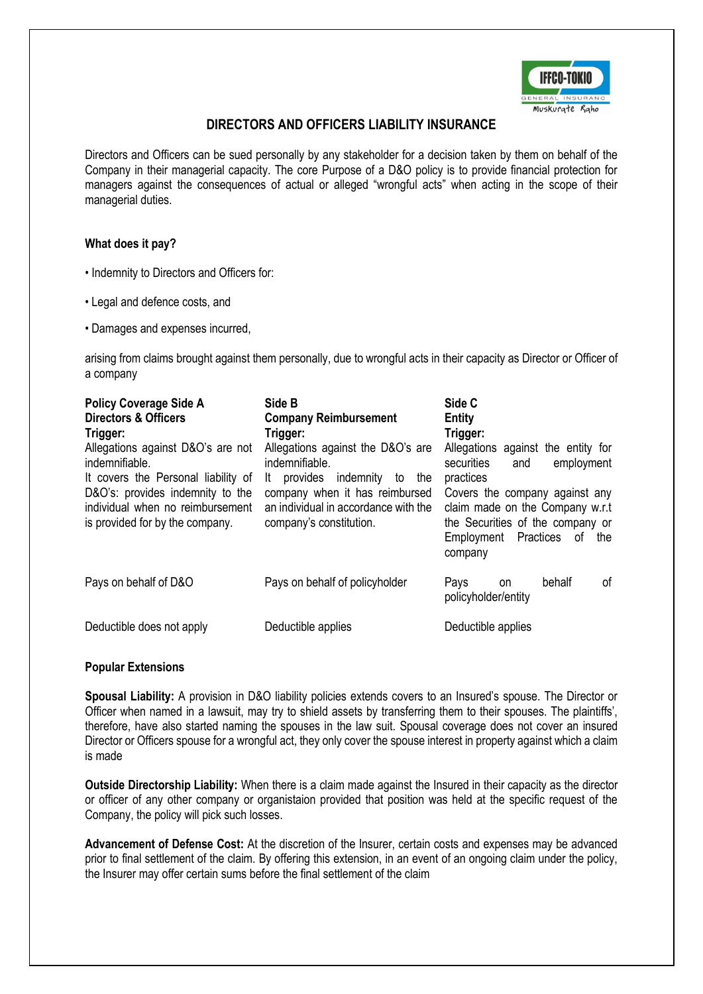

# **DIRECTORS AND OFFICERS LIABILITY INSURANCE**

Directors and Officers can be sued personally by any stakeholder for a decision taken by them on behalf of the Company in their managerial capacity. The core Purpose of a D&O policy is to provide financial protection for managers against the consequences of actual or alleged "wrongful acts" when acting in the scope of their managerial duties.

### **What does it pay?**

- Indemnity to Directors and Officers for:
- Legal and defence costs, and
- Damages and expenses incurred,

arising from claims brought against them personally, due to wrongful acts in their capacity as Director or Officer of a company

| <b>Policy Coverage Side A</b><br><b>Directors &amp; Officers</b><br>Trigger:                            | Side B<br><b>Company Reimbursement</b><br>Trigger:                                                | Side C<br>Entity<br>Trigger:                                                                                                                    |
|---------------------------------------------------------------------------------------------------------|---------------------------------------------------------------------------------------------------|-------------------------------------------------------------------------------------------------------------------------------------------------|
| Allegations against D&O's are not<br>indemnifiable.<br>It covers the Personal liability of              | Allegations against the D&O's are<br>indemnifiable.<br>indemnity<br>provides<br>the<br>It<br>to   | Allegations against the entity for<br>securities<br>employment<br>and<br>practices                                                              |
| D&O's: provides indemnity to the<br>individual when no reimbursement<br>is provided for by the company. | company when it has reimbursed<br>an individual in accordance with the<br>company's constitution. | Covers the company against any<br>claim made on the Company w.r.t<br>the Securities of the company or<br>Employment Practices of the<br>company |
| Pays on behalf of D&O                                                                                   | Pays on behalf of policyholder                                                                    | behalf<br>οf<br>Pays<br>on<br>policyholder/entity                                                                                               |
| Deductible does not apply                                                                               | Deductible applies                                                                                | Deductible applies                                                                                                                              |

### **Popular Extensions**

**Spousal Liability:** A provision in D&O liability policies extends covers to an Insured's spouse. The Director or Officer when named in a lawsuit, may try to shield assets by transferring them to their spouses. The plaintiffs', therefore, have also started naming the spouses in the law suit. Spousal coverage does not cover an insured Director or Officers spouse for a wrongful act, they only cover the spouse interest in property against which a claim is made

**Outside Directorship Liability:** When there is a claim made against the Insured in their capacity as the director or officer of any other company or organistaion provided that position was held at the specific request of the Company, the policy will pick such losses.

**Advancement of Defense Cost:** At the discretion of the Insurer, certain costs and expenses may be advanced prior to final settlement of the claim. By offering this extension, in an event of an ongoing claim under the policy, the Insurer may offer certain sums before the final settlement of the claim